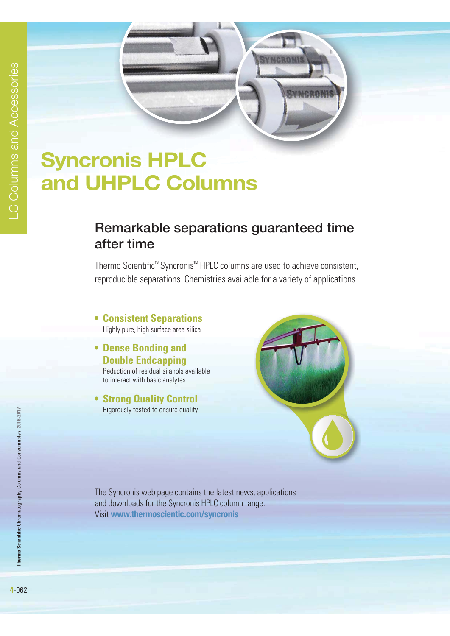# **Syncronis HPLC and UHPLC Columns**

## **Remarkable separations guaranteed time after time**

Thermo Scientific™ Syncronis™ HPLC columns are used to achieve consistent, reproducible separations. Chemistries available for a variety of applications.

- **Consistent Separations** Highly pure, high surface area silica
- **Dense Bonding and Double Endcapping**

 Reduction of residual silanols available to interact with basic analytes

**• Strong Quality Control** Rigorously tested to ensure quality



The Syncronis web page contains the latest news, applications and downloads for the Syncronis HPLC column range. Visit **www.thermoscientic.com/syncronis**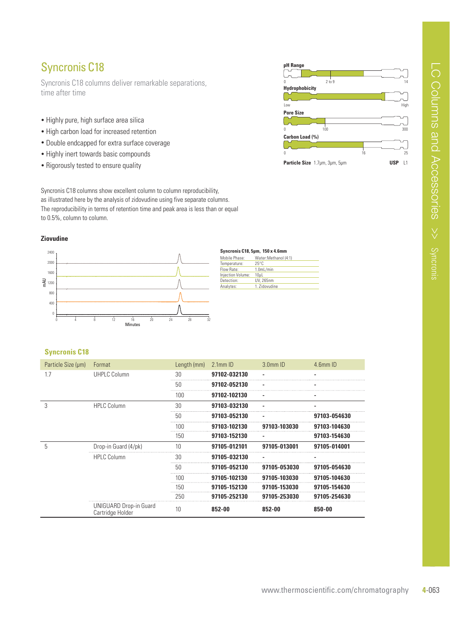### Syncronis C18

Syncronis C18 columns deliver remarkable separations, time after time

- Highly pure, high surface area silica
- High carbon load for increased retention
- Double endcapped for extra surface coverage
- Highly inert towards basic compounds
- Rigorously tested to ensure quality

Syncronis C18 columns show excellent column to column reproducibility, as illustrated here by the analysis of zidovudine using five separate columns. The reproducibility in terms of retention time and peak area is less than or equal to 0.5%, column to column.

#### **Ziovudine**



| Mobile Phase:     | Water: Methanol (4:1)  |
|-------------------|------------------------|
| Temperature:      | $25^{\circ}$ C         |
| Flow Rate:        | 1.0 <sub>m</sub> L/min |
| Injection Volume: | 10uL                   |
| Detection:        | UV, 265nm              |
| Analytes:         | 1. Zidovudine          |
|                   |                        |

#### **Syncronis C18**

| Particle Size (µm) | Format                                            | Length (mm) | $2.1$ mm $ID$ | $3.0mm$ ID   | 4.6mm ID     |
|--------------------|---------------------------------------------------|-------------|---------------|--------------|--------------|
| 17                 | <b>UHPLC Column</b>                               | 30          | 97102-032130  |              |              |
|                    |                                                   | 50          | 97102-052130  |              |              |
|                    |                                                   | 100         | 97102-102130  |              |              |
| 3                  | <b>HPLC Column</b>                                | 30          | 97103-032130  |              |              |
|                    |                                                   | 50          | 97103-052130  |              | 97103-054630 |
|                    |                                                   | 100         | 97103-102130  | 97103-103030 | 97103-104630 |
|                    |                                                   | 150         | 97103-152130  |              | 97103-154630 |
| 5                  | Drop-in Guard (4/pk)                              | 10          | 97105-012101  | 97105-013001 | 97105-014001 |
|                    | <b>HPLC Column</b>                                | 30          | 97105-032130  |              |              |
|                    |                                                   | 50          | 97105-052130  | 97105-053030 | 97105-054630 |
|                    |                                                   | 100         | 97105-102130  | 97105-103030 | 97105-104630 |
|                    |                                                   | 150         | 97105-152130  | 97105-153030 | 97105-154630 |
|                    |                                                   | 250         | 97105-252130  | 97105-253030 | 97105-254630 |
|                    | <b>UNIGUARD Drop-in Guard</b><br>Cartridge Holder | 10          | 852-00        | 852-00       | 850-00       |

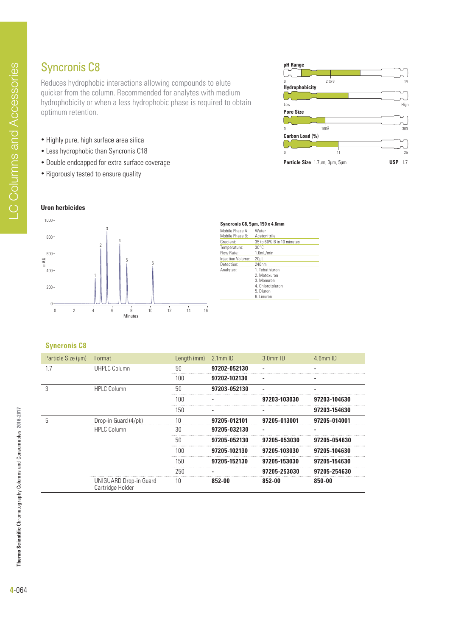## Syncronis C8

Reduces hydrophobic interactions allowing compounds to elute quicker from the column. Recommended for analytes with medium hydrophobicity or when a less hydrophobic phase is required to obtain optimum retention.

- Highly pure, high surface area silica
- Less hydrophobic than Syncronis C18
- Double endcapped for extra surface coverage
- Rigorously tested to ensure quality



mAU



| Syncronis C8, 5µm, 150 x 4.6mm |                           |
|--------------------------------|---------------------------|
| Mobile Phase A:                | Water                     |
| Mobile Phase B:                | Acetonitrile              |
| Gradient:                      | 35 to 60% B in 10 minutes |
| Temperature:                   | $30^{\circ}$ C            |
| Flow Rate:                     | 1.0 <sub>m</sub> L/min    |
| Injection Volume:              | 20uL                      |
| Detection:                     | 240nm                     |
| Analytes:                      | 1. Tebuthiuron            |
|                                | 2. Metoxuron              |
|                                | 3. Monuron                |
|                                | 4. Chlorotoluron          |
|                                | 5. Diuron                 |
|                                | 6. Linuron                |
|                                |                           |

#### **Syncronis C8**

| Particle Size (µm) | Format                                            | Length (mm) | $2.1$ mm $ID$ | $3.0mm$ ID   | 4.6mm ID     |
|--------------------|---------------------------------------------------|-------------|---------------|--------------|--------------|
| 1.7                | <b>UHPLC Column</b>                               | 50          | 97202-052130  |              |              |
|                    |                                                   | 100         | 97202-102130  |              |              |
|                    | <b>HPLC Column</b>                                | 50          | 97203-052130  |              |              |
|                    |                                                   | 100         |               | 97203-103030 | 97203-104630 |
|                    |                                                   | 150         |               |              | 97203-154630 |
| 5                  | Drop-in Guard (4/pk)                              | 10          | 97205-012101  | 97205-013001 | 97205-014001 |
|                    | <b>HPLC Column</b>                                | 30          | 97205-032130  |              |              |
|                    |                                                   | 50          | 97205-052130  | 97205-053030 | 97205-054630 |
|                    |                                                   | 100         | 97205-102130  | 97205-103030 | 97205-104630 |
|                    |                                                   | 150         | 97205-152130  | 97205-153030 | 97205-154630 |
|                    |                                                   | 250         |               | 97205-253030 | 97205-254630 |
|                    | <b>UNIGUARD Drop-in Guard</b><br>Cartridge Holder | 10          | 852-00        | 852-00       | 850-00       |



**Thermo Scientific** Chromatography Columns and Consumables **2016-2017**

Thermo Scientific Chromatography Columns and Consumables 2016-2017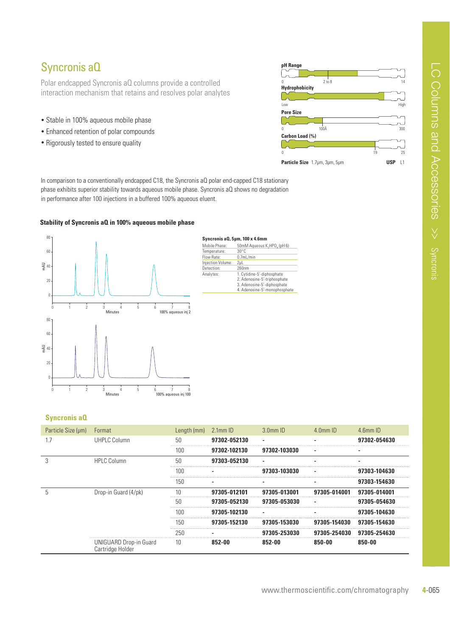### Syncronis aQ

Polar endcapped Syncronis aQ columns provide a controlled interaction mechanism that retains and resolves polar analytes

- Stable in 100% aqueous mobile phase
- Enhanced retention of polar compounds
- Rigorously tested to ensure quality



In comparison to a conventionally endcapped C18, the Syncronis aQ polar end-capped C18 stationary phase exhibits superior stability towards aqueous mobile phase. Syncronis aQ shows no degradation in performance after 100 injections in a buffered 100% aqueous eluent.

#### **Stability of Syncronis aQ in 100% aqueous mobile phase**



#### Syncronis a Q, 5µm, 100 x 4.6mm

| Mobile Phase:     | 50mM Aqueous K.HPO, (pH 6)                                                                                                 |
|-------------------|----------------------------------------------------------------------------------------------------------------------------|
| Temperature:      | $30^{\circ}$ C                                                                                                             |
| Flow Rate:        | $0.7$ mL/min                                                                                                               |
| Iniection Volume: | 2ul                                                                                                                        |
| Detection:        | 260nm                                                                                                                      |
| Analytes:         | 1. Cytidine-5'-diphosphate<br>2. Adenosine-5'-triphosphate<br>3. Adenosine-5'-diphosphate<br>4. Adenosine-5'-monophosphate |

### **Syncronis aQ**

| Particle Size (µm) | Format                                     | Length $(mm)$ 2.1mm ID |              | $3.0mm$ ID   | $4.0$ mm $ID$ | $4.6$ mm $ID$ |
|--------------------|--------------------------------------------|------------------------|--------------|--------------|---------------|---------------|
|                    | <b>UHPLC Column</b>                        | 50                     | 97302-052130 |              |               | 97302-054630  |
|                    |                                            | 100                    | 97302-102130 | 97302-103030 |               |               |
|                    | <b>HPLC Column</b>                         | 50                     | 97303-052130 |              |               |               |
|                    |                                            | 10C                    |              | 97303-103030 |               | 97303-104630  |
|                    |                                            | 150                    |              |              |               | 97303-154630  |
|                    | Drop-in Guard (4/pk)                       |                        | 97305-012101 | 97305-013001 | 97305-014001  | 97305-014001  |
|                    |                                            | 50                     | 97305-052130 | 97305-053030 |               | 97305-054630  |
|                    |                                            | 1N C                   | 97305-102130 |              |               | 97305-104630  |
|                    |                                            | 150                    | 97305-152130 | 97305-153030 | 97305-154030  | 97305-154630  |
|                    |                                            | 250                    |              | 97305-253030 | 97305-254030  | 97305-254630  |
|                    | UNIGUARD Drop-in Guard<br>Cartridge Holder | 10                     | 852-00       | 852-00       | 850-00        | 850-00        |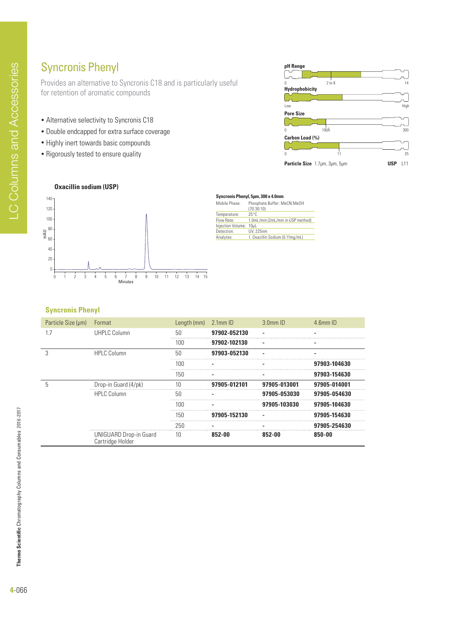### Syncronis Phenyl

Provides an alternative to Syncronis C18 and is particularly useful for retention of aromatic compounds

- Alternative selectivity to Syncronis C18
- Double endcapped for extra surface coverage
- Highly inert towards basic compounds
- Rigorously tested to ensure quality



#### **Oxacillin sodium (USP)**



#### Syncronis Phenyl, 5µm, 300 x 4.0mm

| Mobile Phase:     | Phosphate Buffer: MeCN:MeOH<br>(70:30:10) |
|-------------------|-------------------------------------------|
| Temperature:      | $25^{\circ}$ C                            |
| Flow Rate:        | 1.0mL/min (2mL/min in USP method)         |
| Injection Volume: | 10uL                                      |
| Detection:        | <b>UV. 225nm</b>                          |
| Analytes:         | 1. Oxacillin Sodium (0.11mg/mL)           |
|                   |                                           |

### **Syncronis Phenyl**

| Particle Size (µm) | Format                                            | Length (mm) | $2.1$ mm $ID$ | $3.0mm$ ID   | $4.6$ mm $ID$ |
|--------------------|---------------------------------------------------|-------------|---------------|--------------|---------------|
| 1.7                | UHPLC Column                                      | 50          | 97902-052130  |              |               |
|                    |                                                   | 100         | 97902-102130  |              |               |
| 3                  | <b>HPLC Column</b>                                | 50          | 97903-052130  |              |               |
|                    |                                                   | 100         |               |              | 97903-104630  |
|                    |                                                   | 150         |               |              | 97903-154630  |
| 5                  | Drop-in Guard (4/pk)                              | 10          | 97905-012101  | 97905-013001 | 97905-014001  |
|                    | <b>HPLC Column</b>                                | 50          |               | 97905-053030 | 97905-054630  |
|                    |                                                   | 100         |               | 97905-103030 | 97905-104630  |
|                    |                                                   | 150         | 97905-152130  |              | 97905-154630  |
|                    |                                                   | 250         |               |              | 97905-254630  |
|                    | <b>UNIGUARD Drop-in Guard</b><br>Cartridge Holder | 10          | 852-00        | 852-00       | 850-00        |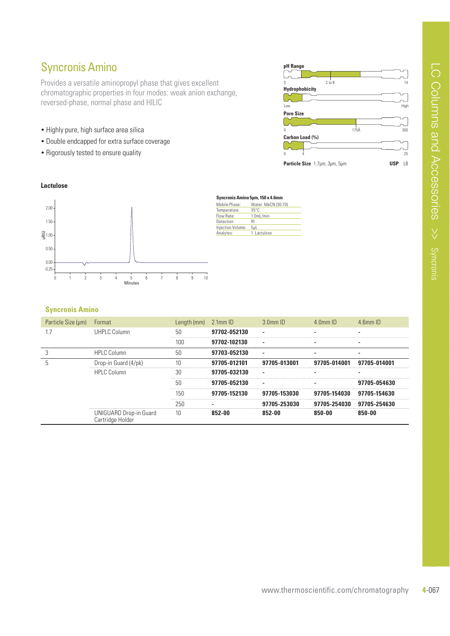### Syncronis Amino

Provides a versatile aminopropyl phase that gives excellent chromatographic properties in four modes: weak anion exchange, reversed-phase, normal phase and HILIC

- Highly pure, high surface area silica
- Double endcapped for extra surface coverage
- Rigorously tested to ensure quality



#### **Lactulose**



| Syncronis Amino 5µm, 150 x 4.6mm |                        |  |  |  |  |
|----------------------------------|------------------------|--|--|--|--|
| Mobile Phase:                    | Water: MeCN (30:70)    |  |  |  |  |
| Temperature:                     | $35^{\circ}$ C         |  |  |  |  |
| Flow Rate:                       | 1.0 <sub>m</sub> L/min |  |  |  |  |
| Detection:                       | RI                     |  |  |  |  |
| Injection Volume:                | 5uL                    |  |  |  |  |
| Analytes:                        | 1. Lactulose           |  |  |  |  |

### **Syncronis Amino**

| Particle Size (µm) | Format                                     | Length (mm) | 2.1mm ID     | $3.0$ mm $1D$ | $4$ 0 mm $ID$ | $4$ 6mm ID   |
|--------------------|--------------------------------------------|-------------|--------------|---------------|---------------|--------------|
|                    | UHPLC Column                               | 50          | 97702-052130 |               |               |              |
|                    |                                            | 100         | 97702-102130 |               |               |              |
|                    | <b>HPLC Column</b>                         | 50          | 97703-052130 |               |               |              |
|                    | Drop-in Guard (4/pk)                       |             | 97705-012101 | 97705-013001  | 97705-014001  | 97705-014001 |
|                    | <b>HPLC Column</b>                         | 30          | 97705-032130 |               |               |              |
|                    |                                            | 50          | 97705-052130 |               |               | 97705-054630 |
|                    |                                            | 150         | 97705-152130 | 97705-153030  | 97705-154030  | 97705-154630 |
|                    |                                            | 250         |              | 05-253030     | 97705-254030  | 97705-254630 |
|                    | UNIGUARD Drop-in Guard<br>Cartridge Holder | 10          | 852-NO       | 852-00        | 850-00        | 85N-NA       |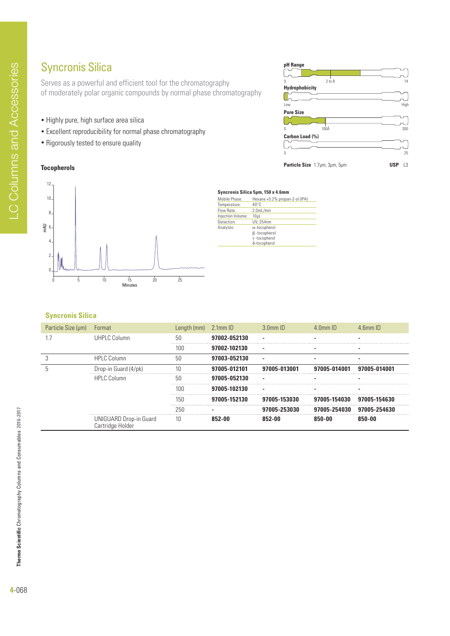### Syncronis Silica

Serves as a powerful and efficient tool for the chromatography of moderately polar organic compounds by normal phase chromatography

- Highly pure, high surface area silica
- Excellent reproducibility for normal phase chromatography
- Rigorously tested to ensure quality

#### **Tocopherols**

12





#### Syncronis Silica 5µm, 150 x 4.6mm

| Mobile Phase:     | Hexane +0.2% propan-2-ol (IPA) |
|-------------------|--------------------------------|
| Temperature:      | $40^{\circ}$ C                 |
| Flow Rate:        | 2.0mL/min                      |
| Injection Volume: | 10 <sub>µ</sub>                |
| Detection:        | UV. 254nm                      |
| Analytes:         | $\alpha$ -tocopherol           |
|                   | $\beta$ -tocopherol            |
|                   | $\gamma$ -tocopherol           |
|                   | δ-tocopherol                   |

#### **Syncronis Silica**

| Particle Size (µm) | Format                                            | Length (mm) | $2.1$ mm $ID$ | $3.0$ mm $ID$ | $4 \, \text{Omm}$ ID | $4$ 6mm ID   |
|--------------------|---------------------------------------------------|-------------|---------------|---------------|----------------------|--------------|
| 1.7                | UHPLC Column                                      | 50          | 97002-052130  |               |                      |              |
|                    |                                                   | 100         | 97002-102130  |               |                      |              |
| 3                  | <b>HPLC Column</b>                                | 50          | 97003-052130  |               |                      |              |
| 5                  | Drop-in Guard (4/pk)                              | 10          | 97005-012101  | 97005-013001  | 97005-014001         | 97005-014001 |
|                    | <b>HPLC Column</b>                                | 50          | 97005-052130  |               |                      |              |
|                    |                                                   | 100         | 97005-102130  |               |                      |              |
|                    |                                                   | 150         | 97005-152130  | 97005-153030  | 97005-154030         | 97005-154630 |
|                    |                                                   | 250         |               | 97005-253030  | 97005-254030         | 97005-254630 |
|                    | <b>UNIGUARD Drop-in Guard</b><br>Cartridge Holder | 10          | 852-00        | 852-00        | 850-00               | 850-00       |